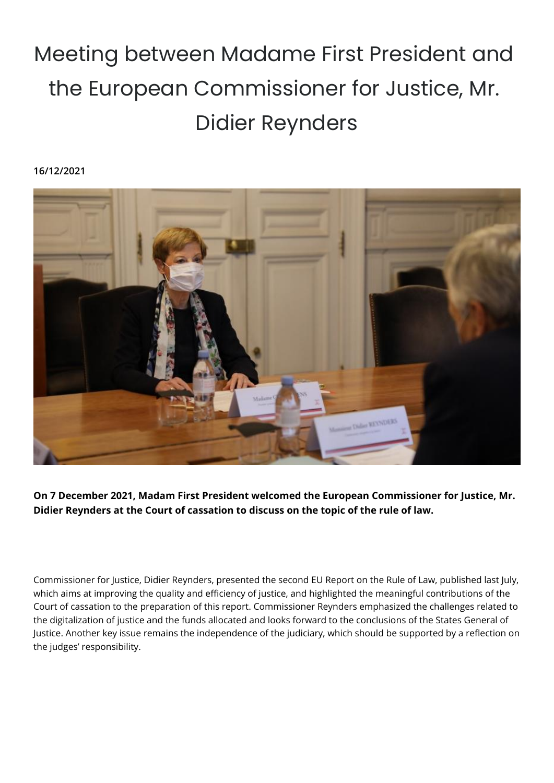## Meeting between Madame First President and the European Commissioner for Justice, Mr. Didier Reynders

## **16/12/2021**



**On 7 December 2021, Madam First President welcomed the European Commissioner for Justice, Mr. Didier Reynders at the Court of cassation to discuss on the topic of the rule of law.**

Commissioner for Justice, Didier Reynders, presented the second EU Report on the Rule of Law, published last July, which aims at improving the quality and efficiency of justice, and highlighted the meaningful contributions of the Court of cassation to the preparation of this report. Commissioner Reynders emphasized the challenges related to the digitalization of justice and the funds allocated and looks forward to the conclusions of the States General of Justice. Another key issue remains the independence of the judiciary, which should be supported by a reflection on the judges' responsibility.